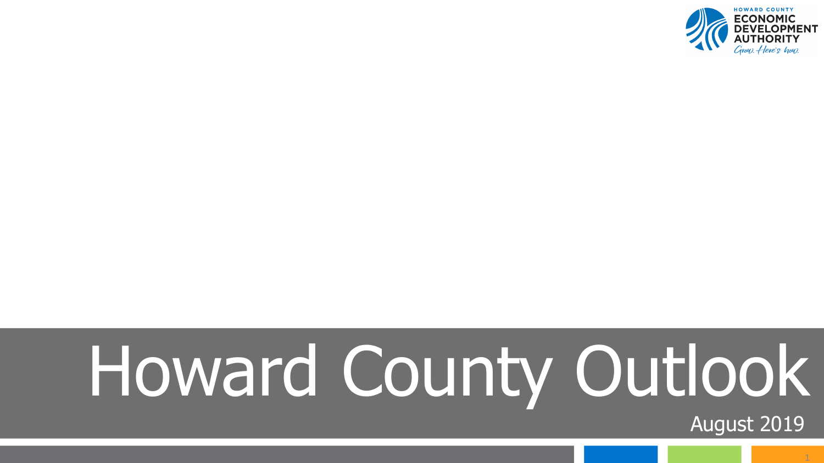

# Howard County Outlook

August 2019

1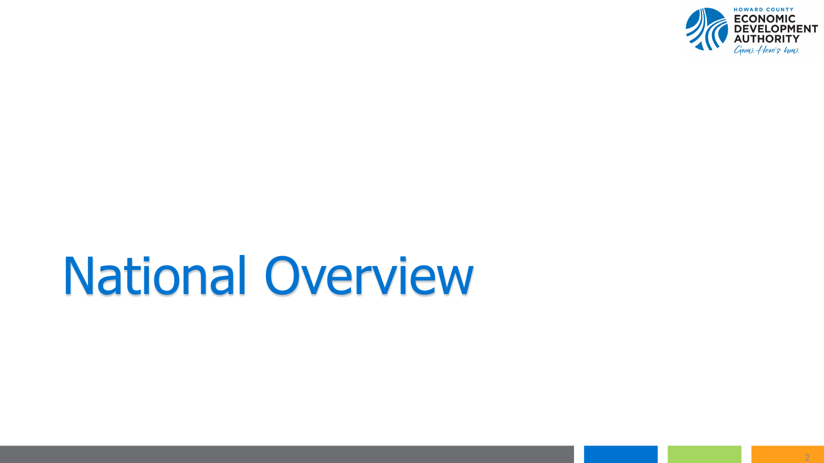

# National Overview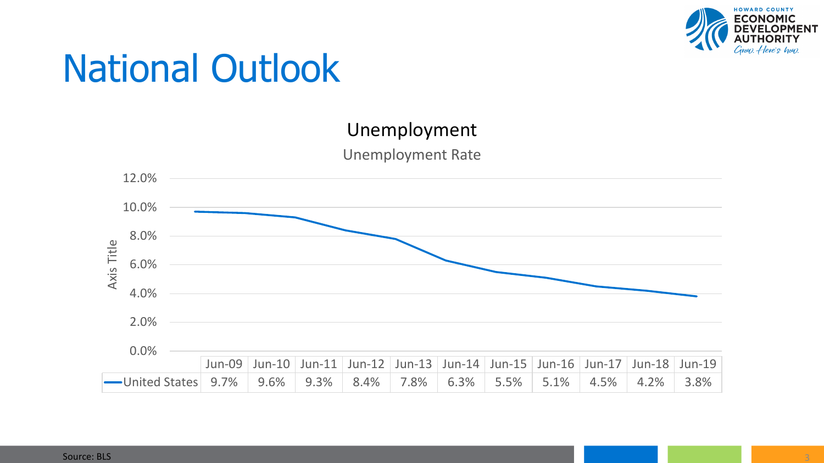



Unemployment Rate

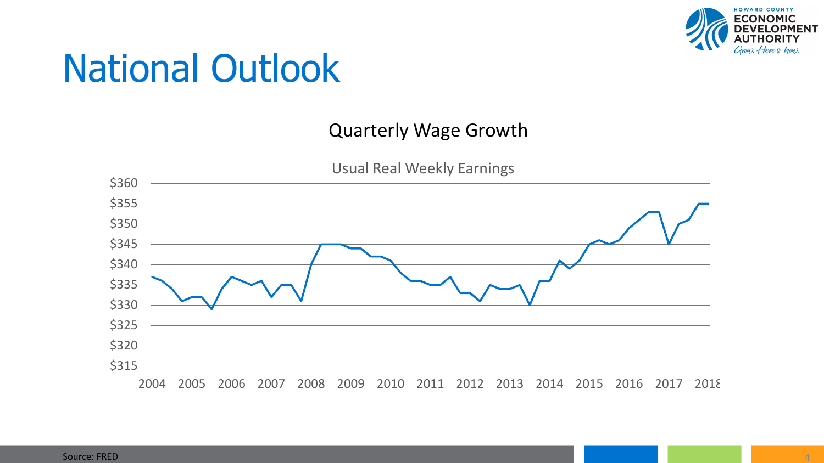

#### Quarterly Wage Growth

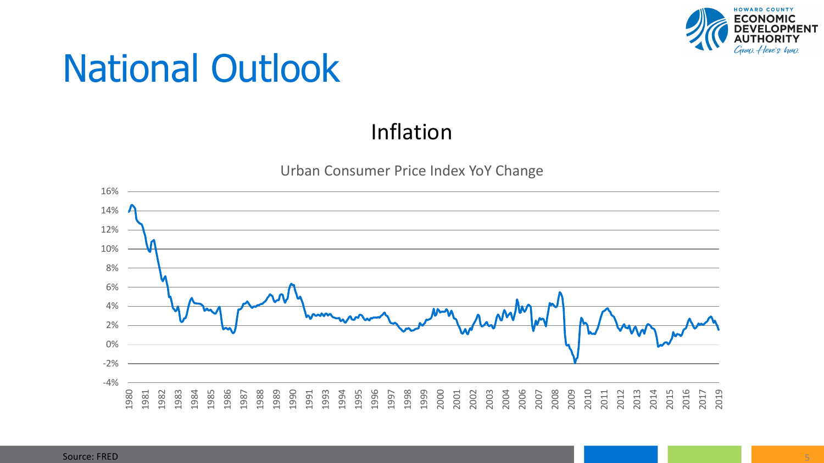

#### Inflation



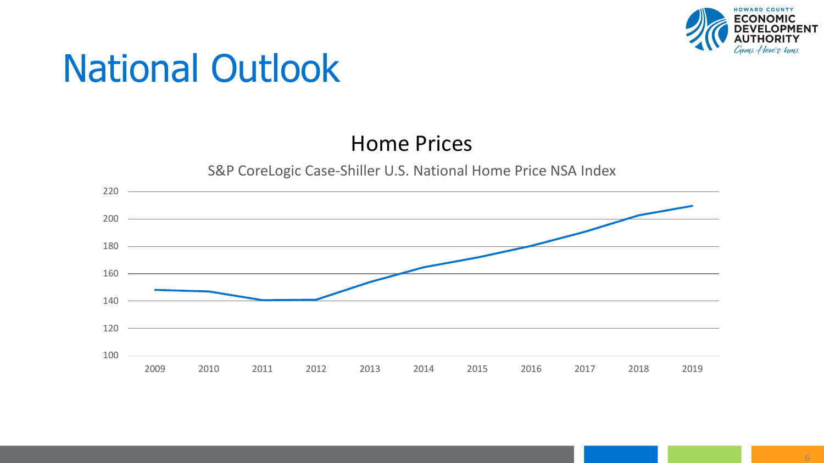

#### Home Prices

S&P CoreLogic Case-Shiller U.S. National Home Price NSA Index

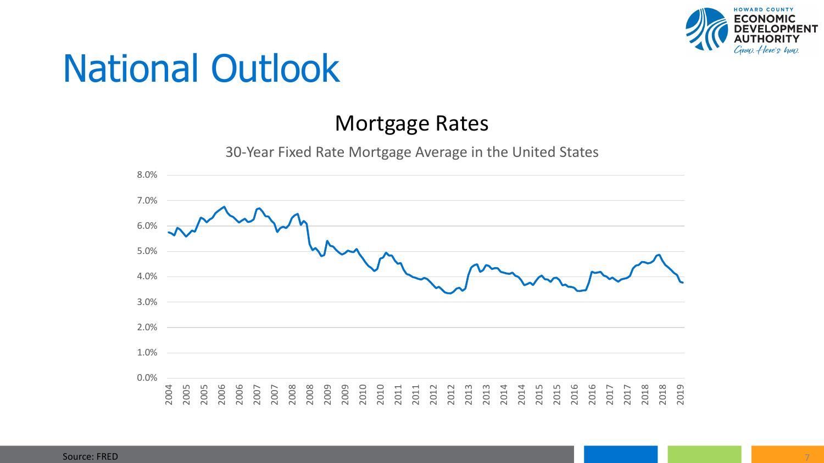

#### Mortgage Rates



30-Year Fixed Rate Mortgage Average in the United States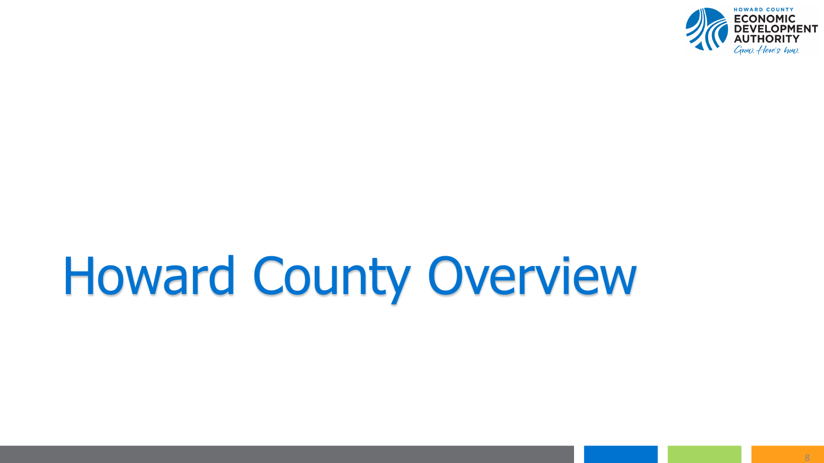

# Howard County Overview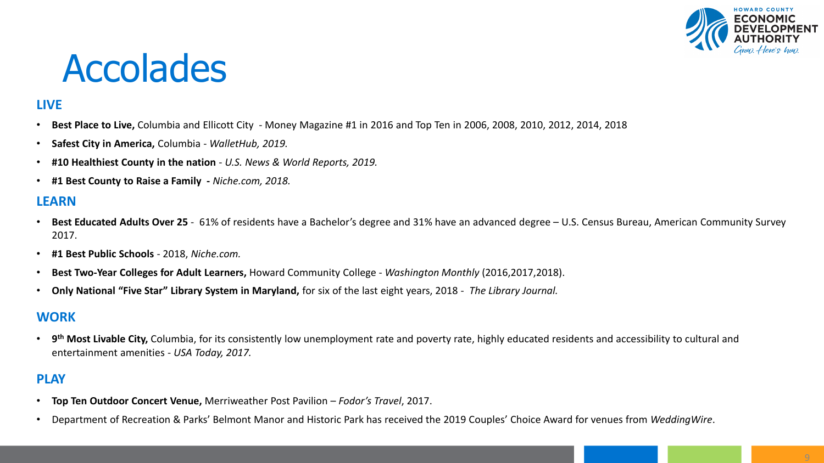

#### Accolades

#### **LIVE**

- **Best Place to Live,** Columbia and Ellicott City Money Magazine #1 in 2016 and Top Ten in 2006, 2008, 2010, 2012, 2014, 2018
- **Safest City in America,** Columbia *WalletHub, 2019.*
- **#10 Healthiest County in the nation**  *U.S. News & World Reports, 2019.*
- **#1 Best County to Raise a Family -** *Niche.com, 2018.*

#### **LEARN**

- **Best Educated Adults Over 25**  61% of residents have a Bachelor's degree and 31% have an advanced degree U.S. Census Bureau, American Community Survey 2017.
- **#1 Best Public Schools** 2018, *Niche.com.*
- **Best Two-Year Colleges for Adult Learners,** Howard Community College *Washington Monthly* (2016,2017,2018).
- **Only National "Five Star" Library System in Maryland,** for six of the last eight years, 2018 *The Library Journal.*

#### **WORK**

• **9th Most Livable City,** Columbia, for its consistently low unemployment rate and poverty rate, highly educated residents and accessibility to cultural and entertainment amenities - *USA Today, 2017.*

#### **PLAY**

- **Top Ten Outdoor Concert Venue,** Merriweather Post Pavilion *Fodor's Travel*, 2017.
- Department of Recreation & Parks' Belmont Manor and Historic Park has received the 2019 Couples' Choice Award for venues from *WeddingWire*.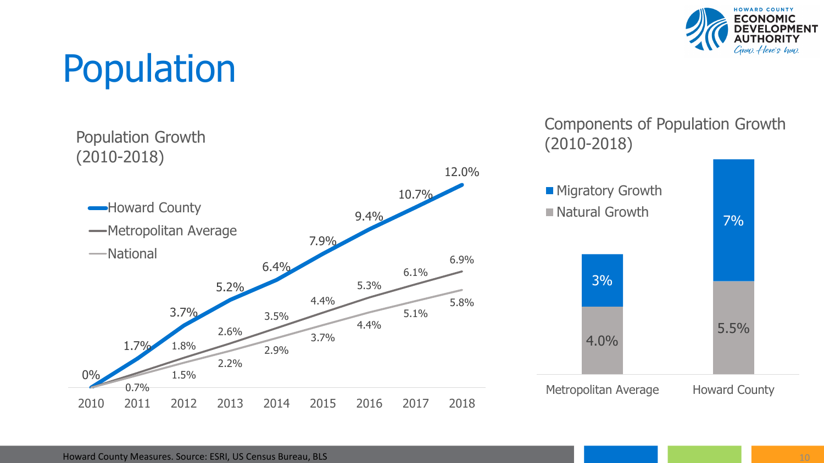

### Population

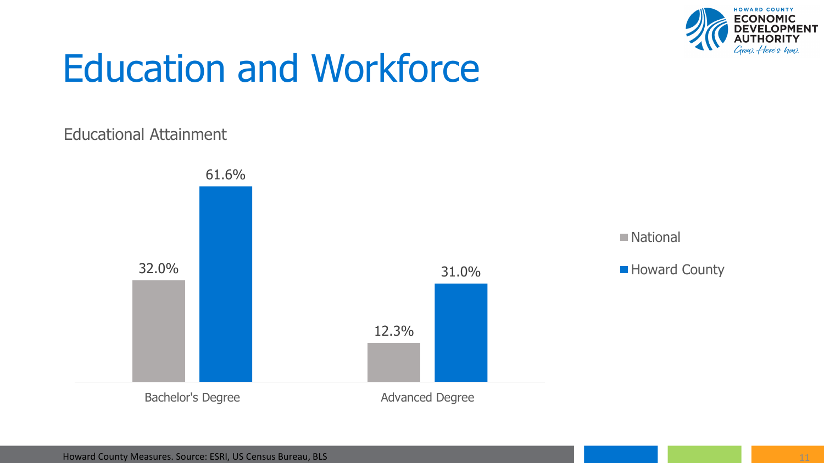

### Education and Workforce

#### Educational Attainment

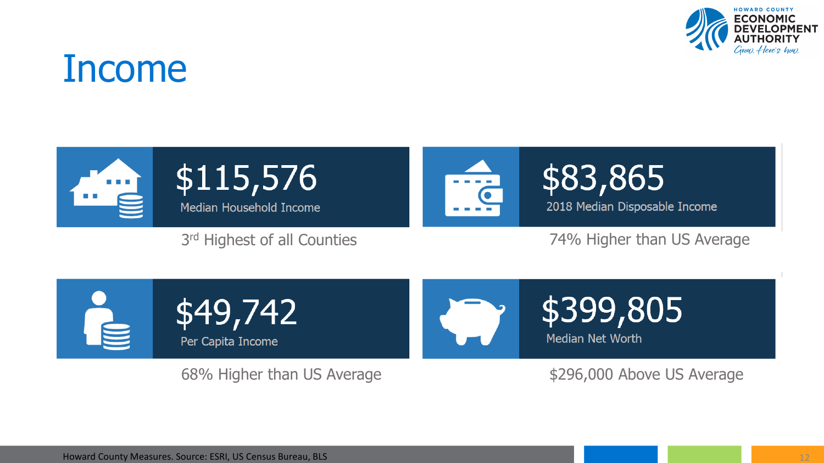

#### Income



3rd Highest of all Counties **74% Higher than US Average** 



68% Higher than US Average  $$296,000$  Above US Average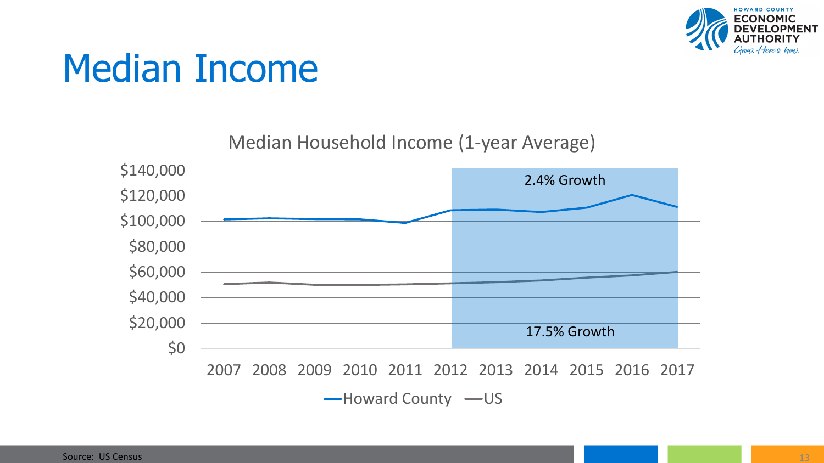

#### Median Income

Median Household Income (1-year Average)

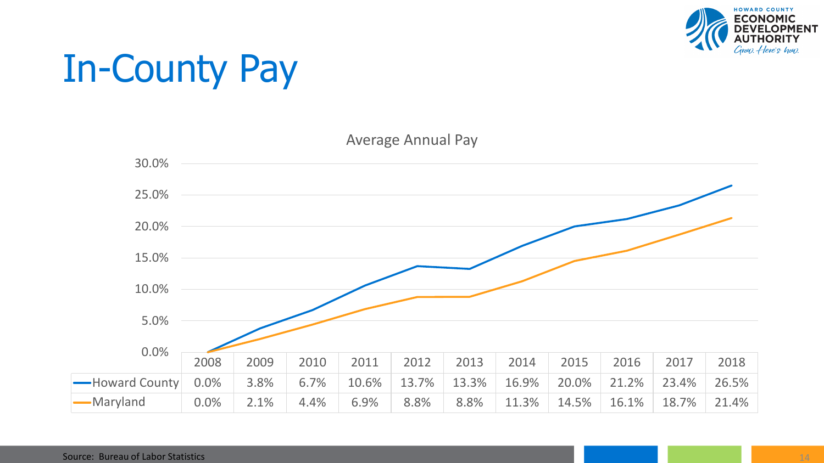

# In-County Pay

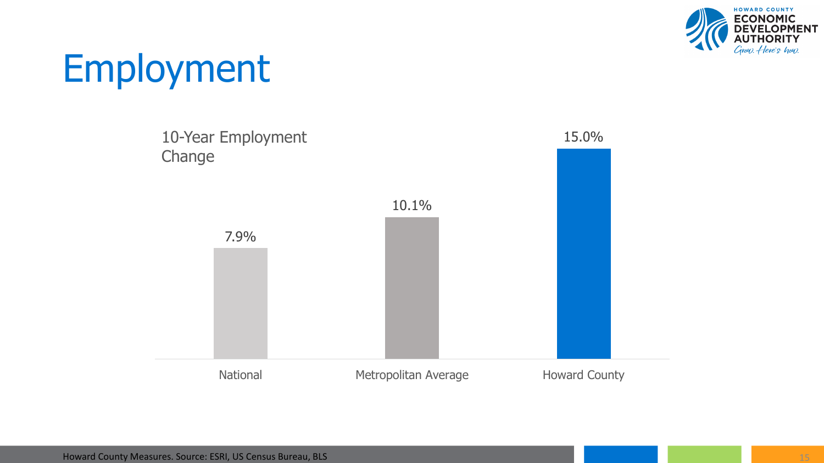

### Employment

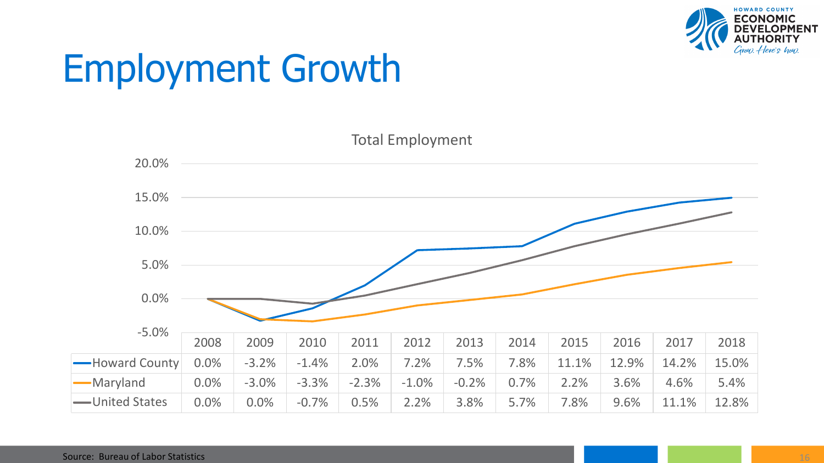

### Employment Growth

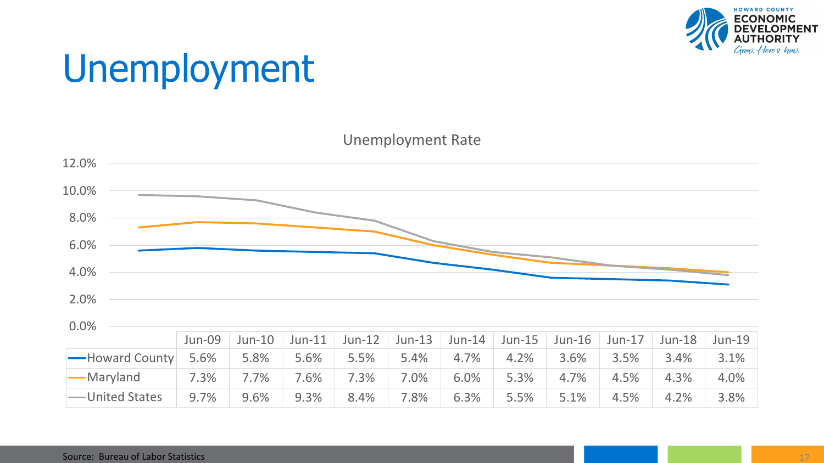

# Unemployment

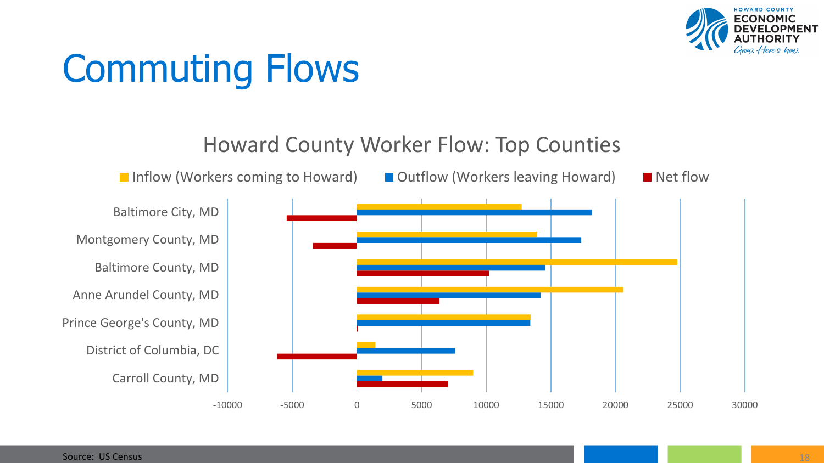

### Commuting Flows

Howard County Worker Flow: Top Counties

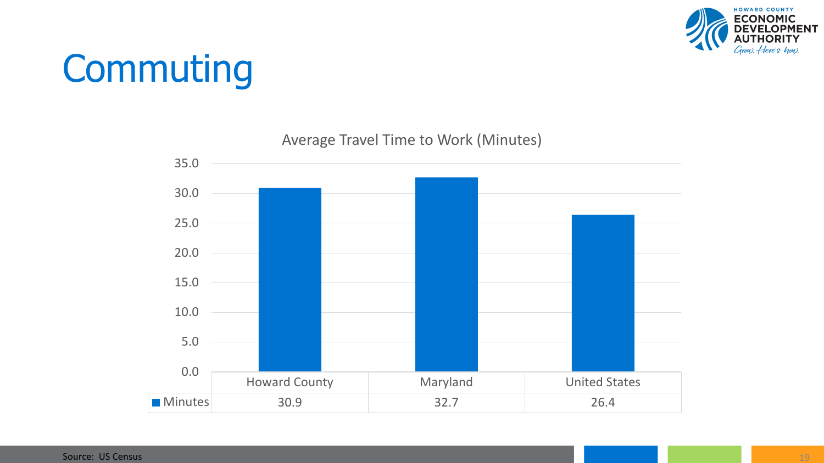

### **Commuting**



#### Average Travel Time to Work (Minutes)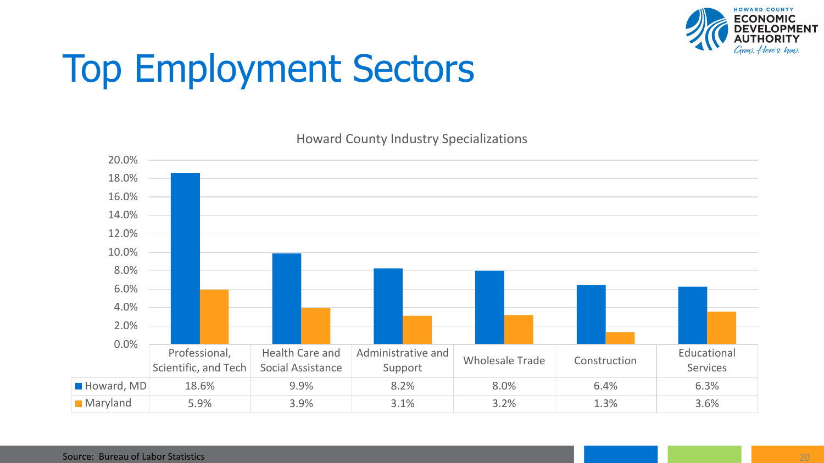

### Top Employment Sectors



Howard County Industry Specializations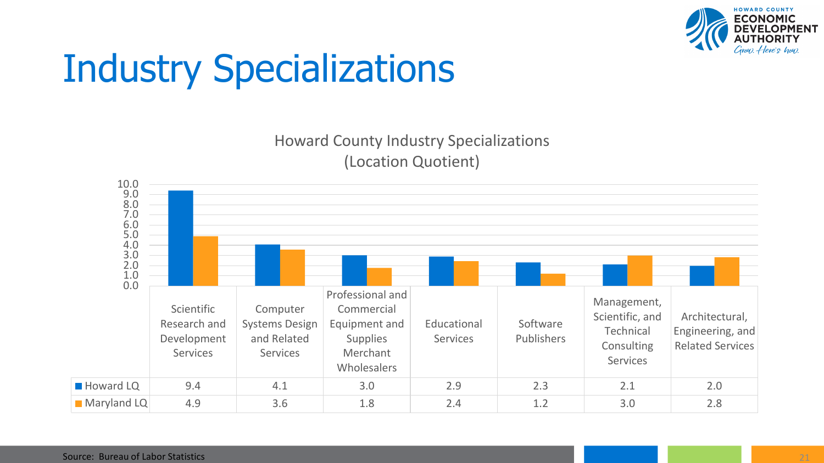

### Industry Specializations

Howard County Industry Specializations (Location Quotient)

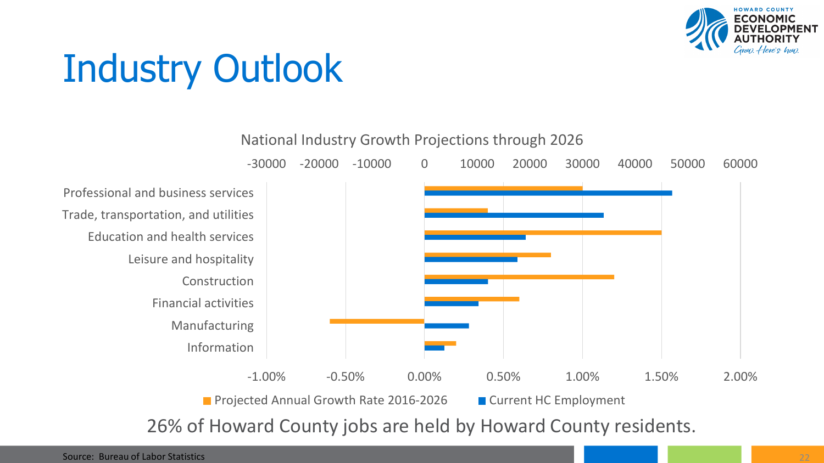

# Industry Outlook



26% of Howard County jobs are held by Howard County residents.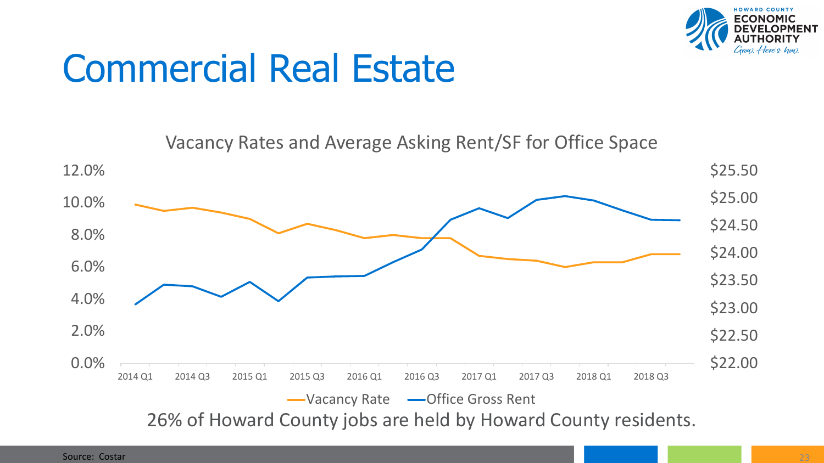

### Commercial Real Estate

Vacancy Rates and Average Asking Rent/SF for Office Space

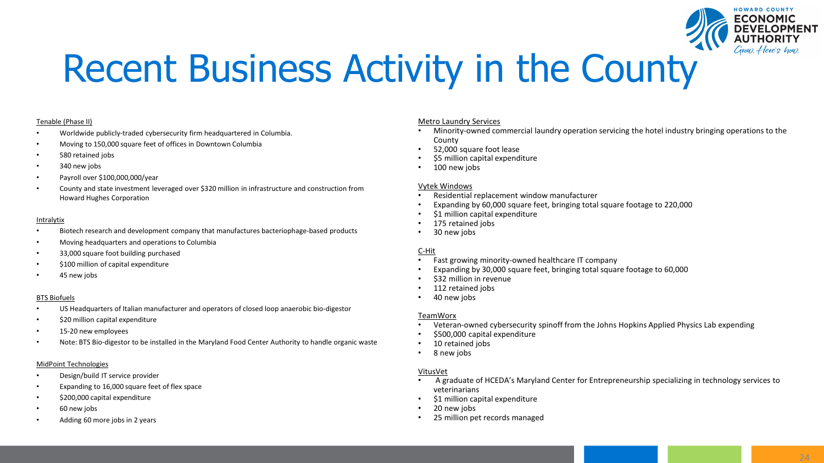

### Recent Business Activity in the County

#### Tenable (Phase II)

- Worldwide publicly-traded cybersecurity firm headquartered in Columbia.
- Moving to 150,000 square feet of offices in Downtown Columbia
- 580 retained jobs
- 340 new jobs
- Payroll over \$100,000,000/year
- County and state investment leveraged over \$320 million in infrastructure and construction from Howard Hughes Corporation

#### Intralytix

- Biotech research and development company that manufactures bacteriophage-based products
- Moving headquarters and operations to Columbia
- 33,000 square foot building purchased
- \$100 million of capital expenditure
- 45 new jobs

#### BTS Biofuels

- US Headquarters of Italian manufacturer and operators of closed loop anaerobic bio-digestor
- \$20 million capital expenditure
- 15-20 new employees
- Note: BTS Bio-digestor to be installed in the Maryland Food Center Authority to handle organic waste

#### MidPoint Technologies

- Design/build IT service provider
- Expanding to 16,000 square feet of flex space
- \$200,000 capital expenditure
- 60 new jobs
- Adding 60 more jobs in 2 years

#### Metro Laundry Services

- Minority-owned commercial laundry operation servicing the hotel industry bringing operations to the County
- 52,000 square foot lease
- \$5 million capital expenditure
- 100 new jobs

#### Vytek Windows

- Residential replacement window manufacturer
- Expanding by 60,000 square feet, bringing total square footage to 220,000
- \$1 million capital expenditure
- 175 retained jobs
- 30 new jobs

#### C-Hit

- Fast growing minority-owned healthcare IT company
- Expanding by 30,000 square feet, bringing total square footage to 60,000
- \$32 million in revenue
- 112 retained jobs
- 40 new jobs

#### TeamWorx

- Veteran-owned cybersecurity spinoff from the Johns Hopkins Applied Physics Lab expending
- \$500,000 capital expenditure
- 10 retained jobs
- 8 new jobs

#### VitusVet

- A graduate of HCEDA's Maryland Center for Entrepreneurship specializing in technology services to veterinarians
- \$1 million capital expenditure
- 20 new jobs
- 25 million pet records managed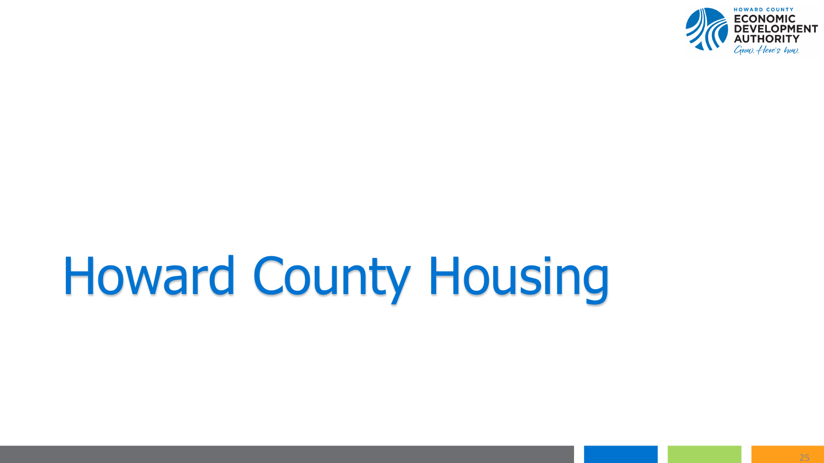

# Howard County Housing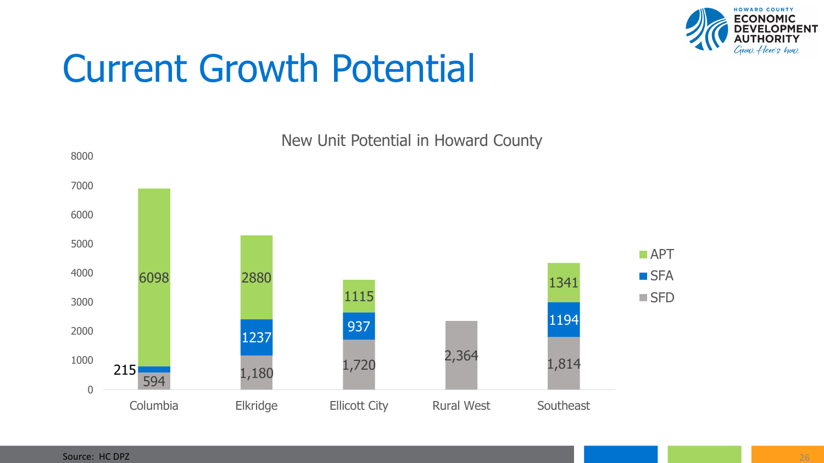

### Current Growth Potential

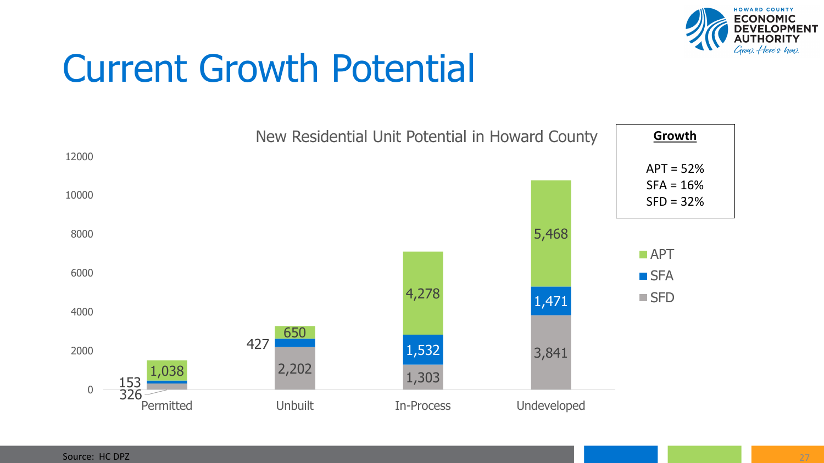

### Current Growth Potential

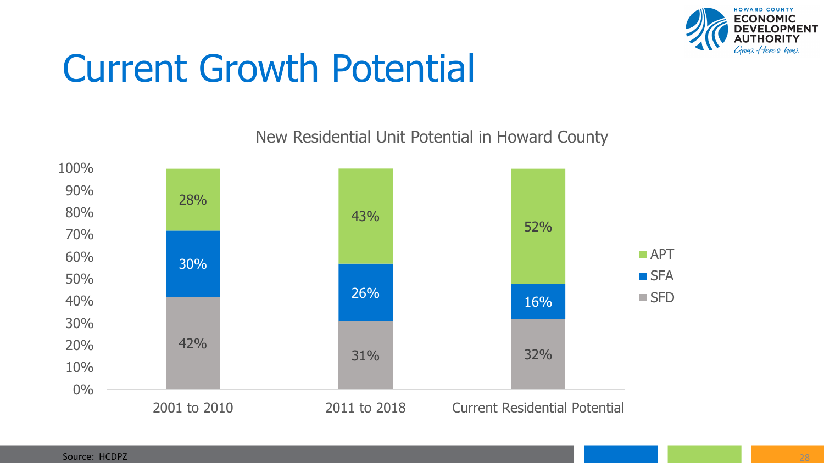

### Current Growth Potential

New Residential Unit Potential in Howard County